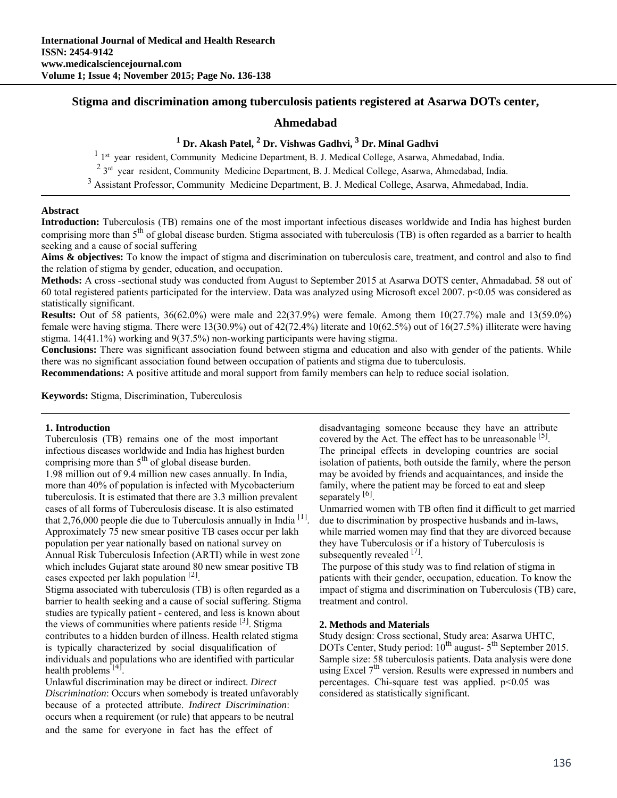# **Stigma and discrimination among tuberculosis patients registered at Asarwa DOTs center,**

# **Ahmedabad**

# <sup>1</sup> Dr. Akash Patel, <sup>2</sup> Dr. Vishwas Gadhvi, <sup>3</sup> Dr. Minal Gadhvi

<sup>1</sup> 1<sup>st</sup> year resident, Community Medicine Department, B. J. Medical College, Asarwa, Ahmedabad, India.

<sup>2</sup> 3<sup>rd</sup> year resident, Community Medicine Department, B. J. Medical College, Asarwa, Ahmedabad, India.

<sup>3</sup> Assistant Professor, Community Medicine Department, B. J. Medical College, Asarwa, Ahmedabad, India.

# **Abstract**

**Introduction:** Tuberculosis (TB) remains one of the most important infectious diseases worldwide and India has highest burden comprising more than  $5<sup>th</sup>$  of global disease burden. Stigma associated with tuberculosis (TB) is often regarded as a barrier to health seeking and a cause of social suffering

**Aims & objectives:** To know the impact of stigma and discrimination on tuberculosis care, treatment, and control and also to find the relation of stigma by gender, education, and occupation.

**Methods:** A cross -sectional study was conducted from August to September 2015 at Asarwa DOTS center, Ahmadabad. 58 out of 60 total registered patients participated for the interview. Data was analyzed using Microsoft excel 2007.  $p<0.05$  was considered as statistically significant.

**Results:** Out of 58 patients, 36(62.0%) were male and 22(37.9%) were female. Among them 10(27.7%) male and 13(59.0%) female were having stigma. There were 13(30.9%) out of  $42(72.4\%)$  literate and  $10(62.5\%)$  out of  $16(27.5\%)$  illiterate were having stigma. 14(41.1%) working and 9(37.5%) non-working participants were having stigma.

**Conclusions:** There was significant association found between stigma and education and also with gender of the patients. While there was no significant association found between occupation of patients and stigma due to tuberculosis.

**Recommendations:** A positive attitude and moral support from family members can help to reduce social isolation.

**Keywords:** Stigma, Discrimination, Tuberculosis

Tuberculosis (TB) remains one of the most important covered by the Act. The effect has to be unreasonable  $[5]$ . infectious diseases worldwide and India has highest burden The principal effects in developing countries are social comprising more than 5<sup>th</sup> of global disease burden. isolation of patients, both outside the family, where the person 1.98 million out of 9.4 million new cases annually. In India, may be avoided by friends and acquaintances, and inside the more than 40% of population is infected with Mycobacterium family, where the patient may be forced to eat and sleep tuberculosis. It is estimated that there are 3.3 million prevalent separately  $[6]$ . cases of all forms of Tuberculosis disease. It is also estimated Unmarried women with TB often find it difficult to get married that 2,76,000 people die due to Tuberculosis annually in India  $\frac{1}{1}$ . due to discrimination by prospective husbands and in-laws, Approximately 75 new smear positive TB cases occur per lakh while married women may find that they are divorced because population per year nationally based on national survey on they have Tuberculosis or if a history of Tuberculosis is Annual Risk Tuberculosis Infection (ARTI) while in west zone subsequently revealed  $^{[7]}$ . which includes Gujarat state around 80 new smear positive TB The purpose of this study was to find relation of stigma in cases expected per lakh population  $\lfloor 2 \rfloor$ . patients with their gender, occupation, education. To know the

Stigma associated with tuberculosis (TB) is often regarded as a impact of stigma and discrimination on Tuberculosis (TB) care, barrier to health seeking and a cause of social suffering. Stigma treatment and control. studies are typically patient - centered, and less is known about the views of communities where patients reside  $[3]$ . Stigma **2. Methods and Materials** contributes to a hidden burden of illness. Health related stigma Study design: Cross sectional, Study area: Asarwa UHTC, is typically characterized by social disqualification of DOTs Center, Study period:  $10^{th}$  august-  $5^{th}$  September 2015. individuals and populations who are identified with particular Sample size: 58 tuberculosis patients. Data analysis were done

Unlawful discrimination may be direct or indirect. *Direct* percentages. Chi-square test was applied. p<0.05 was *Discrimination*: Occurs when somebody is treated unfavorably considered as statistically significant. because of a protected attribute. *Indirect Discrimination*: occurs when a requirement (or rule) that appears to be neutral and the same for everyone in fact has the effect of

**1. Introduction 1. Introduction** disadvantaging someone because they have an attribute

individuals and populations who are identified with particular Sample size: 58 tuberculosis patients. Data analysis were done using Excel  $7<sup>th</sup>$  version. Results were expressed in numbers and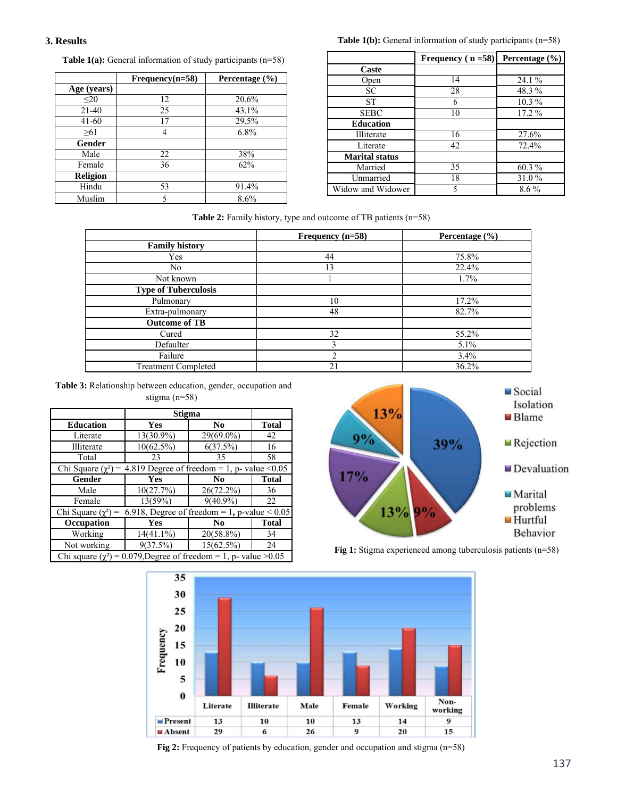### **3. Results**

**Table 1(a):** General information of study participants (n=58)

|             | $Frequency(n=58)$ | Percentage $(\% )$ |
|-------------|-------------------|--------------------|
| Age (years) |                   |                    |
| $20$        | 12                | 20.6%              |
| $21 - 40$   | 25                | 43.1%              |
| $41 - 60$   | 17                | 29.5%              |
| >61         |                   | $6.8\%$            |
| Gender      |                   |                    |
| Male        | 22                | 38%                |
| Female      | 36                | 62%                |
| Religion    |                   |                    |
| Hindu       | 53                | 91.4%              |
| Muslim      |                   | 8.6%               |

**Table 1(b):** General information of study participants (n=58)

|                       | Frequency ( $n = 58$ ) | Percentage $(\% )$ |  |
|-----------------------|------------------------|--------------------|--|
| Caste                 |                        |                    |  |
| Open                  | 14                     | 24.1%              |  |
| SC.                   | 28                     | 48.3%              |  |
| <b>ST</b>             | 6                      | 10.3%              |  |
| <b>SEBC</b>           | 10                     | $17.2\%$           |  |
| <b>Education</b>      |                        |                    |  |
| Illiterate            | 16                     | 27.6%              |  |
| Literate              | 42<br>72.4%            |                    |  |
| <b>Marital status</b> |                        |                    |  |
| Married               | 35                     | 60.3%              |  |
| Unmarried             | 18                     | 31.0%              |  |
| Widow and Widower     | 5                      | $8.6\%$            |  |

## **Table 2:** Family history, type and outcome of TB patients (n=58)

|                             | Frequency $(n=58)$ | Percentage $(\% )$ |
|-----------------------------|--------------------|--------------------|
| <b>Family history</b>       |                    |                    |
| Yes                         | 44                 | 75.8%              |
| N <sub>0</sub>              | 13                 | 22.4%              |
| Not known                   |                    | 1.7%               |
| <b>Type of Tuberculosis</b> |                    |                    |
| Pulmonary                   | 10                 | 17.2%              |
| Extra-pulmonary             | 48                 | 82.7%              |
| <b>Outcome of TB</b>        |                    |                    |
| Cured                       | 32                 | 55.2%              |
| Defaulter                   |                    | 5.1%               |
| Failure                     |                    | $3.4\%$            |
| <b>Treatment Completed</b>  | 21                 | 36.2%              |

**Table 3:** Relationship between education, gender, occupation and

| stigma $(n=58)$ |
|-----------------|
|-----------------|

|                                                                           | Stigma       |                |              |  |
|---------------------------------------------------------------------------|--------------|----------------|--------------|--|
| <b>Education</b>                                                          | Yes          | No             | <b>Total</b> |  |
| Literate                                                                  | 13(30.9%)    | 29(69.0%)      | 42           |  |
| Illiterate                                                                | $10(62.5\%)$ | 6(37.5%)       | 16           |  |
| Total                                                                     | 23           | 35             | 58           |  |
| 4.819 Degree of freedom = 1, p- value < $0.05$<br>Chi Square $(\chi^2)$ = |              |                |              |  |
| Gender                                                                    | Yes          | No             | <b>Total</b> |  |
| Male                                                                      | 10(27.7%)    | 26(72.2%)      | 36           |  |
| Female                                                                    | 13(59%)      | $9(40.9\%)$    | 22           |  |
| 6.918, Degree of freedom = 1, p-value $< 0.05$<br>Chi Square $(\chi^2)$ = |              |                |              |  |
| Occupation                                                                | Yes          | N <sub>0</sub> | <b>Total</b> |  |
| Working                                                                   | $14(41.1\%)$ | $20(58.8\%)$   | 34           |  |
| Not working                                                               | 9(37.5%)     | $15(62.5\%)$   | 24           |  |
| Chi square $(\chi^2)$ = 0.079, Degree of freedom = 1, p- value > 0.05     |              |                |              |  |



Fig 1: Stigma experienced among tuberculosis patients (n=58)



**Fig 2:** Frequency of patients by education, gender and occupation and stigma (n=58)